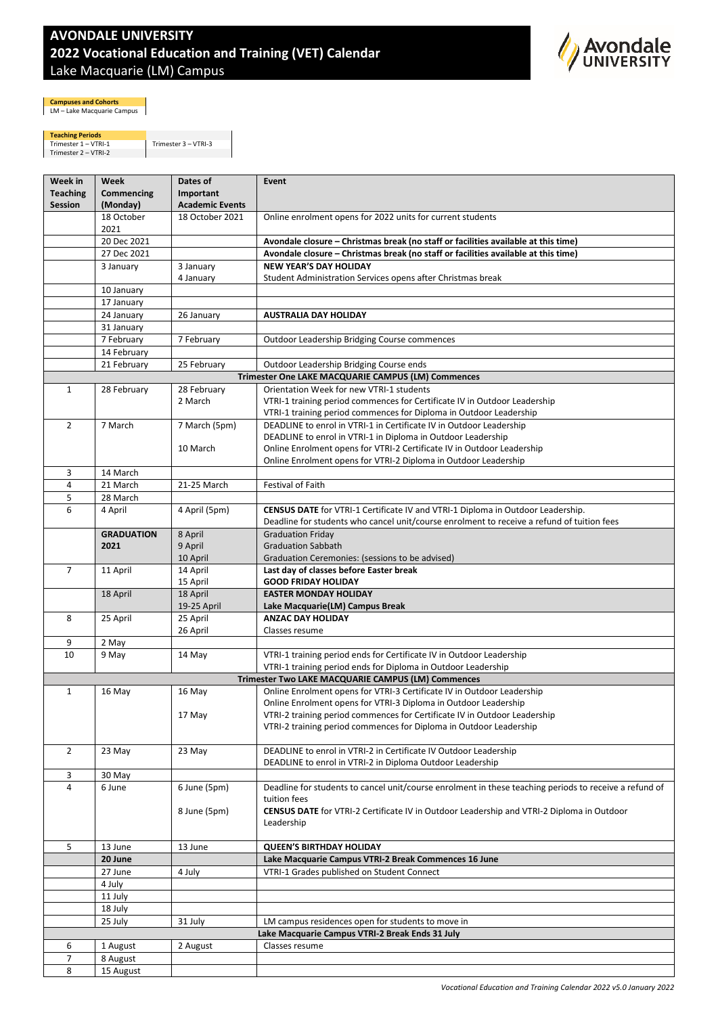## **AVONDALE UNIVERSITY 2022 Vocational Education and Training (VET) Calendar** Lake Macquarie (LM) Campus



**Campuses and Cohorts** LM – Lake Macquarie Campus

**Teaching Periods<br>Trimester 1 – VTRI-1 Trimester 3 – VTRI-3<br>Trimester 2 – VTRI-2** 

| Week in                                            | Week               | Dates of                | Event                                                                                                                                                                         |  |  |
|----------------------------------------------------|--------------------|-------------------------|-------------------------------------------------------------------------------------------------------------------------------------------------------------------------------|--|--|
| <b>Teaching</b>                                    | Commencing         | Important               |                                                                                                                                                                               |  |  |
| Session                                            | (Monday)           | <b>Academic Events</b>  |                                                                                                                                                                               |  |  |
|                                                    | 18 October<br>2021 | 18 October 2021         | Online enrolment opens for 2022 units for current students                                                                                                                    |  |  |
|                                                    | 20 Dec 2021        |                         | Avondale closure – Christmas break (no staff or facilities available at this time)                                                                                            |  |  |
|                                                    | 27 Dec 2021        |                         | Avondale closure - Christmas break (no staff or facilities available at this time)                                                                                            |  |  |
|                                                    | 3 January          | 3 January<br>4 January  | <b>NEW YEAR'S DAY HOLIDAY</b><br>Student Administration Services opens after Christmas break                                                                                  |  |  |
|                                                    | 10 January         |                         |                                                                                                                                                                               |  |  |
|                                                    | 17 January         |                         |                                                                                                                                                                               |  |  |
|                                                    | 24 January         | 26 January              | <b>AUSTRALIA DAY HOLIDAY</b>                                                                                                                                                  |  |  |
|                                                    | 31 January         |                         |                                                                                                                                                                               |  |  |
|                                                    | 7 February         | 7 February              | Outdoor Leadership Bridging Course commences                                                                                                                                  |  |  |
|                                                    | 14 February        |                         |                                                                                                                                                                               |  |  |
|                                                    | 21 February        | 25 February             | Outdoor Leadership Bridging Course ends                                                                                                                                       |  |  |
| Trimester One LAKE MACQUARIE CAMPUS (LM) Commences |                    |                         |                                                                                                                                                                               |  |  |
| $\mathbf{1}$                                       | 28 February        | 28 February             | Orientation Week for new VTRI-1 students                                                                                                                                      |  |  |
|                                                    |                    | 2 March                 | VTRI-1 training period commences for Certificate IV in Outdoor Leadership                                                                                                     |  |  |
| $\overline{2}$                                     | 7 March            | 7 March (5pm)           | VTRI-1 training period commences for Diploma in Outdoor Leadership<br>DEADLINE to enrol in VTRI-1 in Certificate IV in Outdoor Leadership                                     |  |  |
|                                                    |                    |                         | DEADLINE to enrol in VTRI-1 in Diploma in Outdoor Leadership                                                                                                                  |  |  |
|                                                    |                    | 10 March                | Online Enrolment opens for VTRI-2 Certificate IV in Outdoor Leadership                                                                                                        |  |  |
|                                                    |                    |                         | Online Enrolment opens for VTRI-2 Diploma in Outdoor Leadership                                                                                                               |  |  |
| 3                                                  | 14 March           |                         |                                                                                                                                                                               |  |  |
| 4                                                  | 21 March           | 21-25 March             | Festival of Faith                                                                                                                                                             |  |  |
| 5                                                  | 28 March           |                         |                                                                                                                                                                               |  |  |
| 6                                                  | 4 April            | 4 April (5pm)           | CENSUS DATE for VTRI-1 Certificate IV and VTRI-1 Diploma in Outdoor Leadership.<br>Deadline for students who cancel unit/course enrolment to receive a refund of tuition fees |  |  |
|                                                    | <b>GRADUATION</b>  | 8 April                 | <b>Graduation Friday</b>                                                                                                                                                      |  |  |
|                                                    | 2021               | 9 April                 | <b>Graduation Sabbath</b>                                                                                                                                                     |  |  |
|                                                    |                    | 10 April                | Graduation Ceremonies: (sessions to be advised)                                                                                                                               |  |  |
| $\overline{7}$                                     | 11 April           | 14 April                | Last day of classes before Easter break                                                                                                                                       |  |  |
|                                                    |                    | 15 April                | <b>GOOD FRIDAY HOLIDAY</b>                                                                                                                                                    |  |  |
|                                                    | 18 April           | 18 April<br>19-25 April | <b>EASTER MONDAY HOLIDAY</b><br>Lake Macquarie(LM) Campus Break                                                                                                               |  |  |
| 8                                                  | 25 April           | 25 April                | <b>ANZAC DAY HOLIDAY</b>                                                                                                                                                      |  |  |
| 9                                                  | 2 May              | 26 April                | Classes resume                                                                                                                                                                |  |  |
| 10                                                 | 9 May              | 14 May                  | VTRI-1 training period ends for Certificate IV in Outdoor Leadership                                                                                                          |  |  |
|                                                    |                    |                         | VTRI-1 training period ends for Diploma in Outdoor Leadership                                                                                                                 |  |  |
|                                                    |                    |                         | Trimester Two LAKE MACQUARIE CAMPUS (LM) Commences                                                                                                                            |  |  |
| 1                                                  | 16 May             | 16 May                  | Online Enrolment opens for VTRI-3 Certificate IV in Outdoor Leadership                                                                                                        |  |  |
|                                                    |                    |                         | Online Enrolment opens for VTRI-3 Diploma in Outdoor Leadership                                                                                                               |  |  |
|                                                    |                    | 17 May                  | VTRI-2 training period commences for Certificate IV in Outdoor Leadership                                                                                                     |  |  |
|                                                    |                    |                         | VTRI-2 training period commences for Diploma in Outdoor Leadership                                                                                                            |  |  |
|                                                    |                    |                         |                                                                                                                                                                               |  |  |
| $\overline{2}$                                     | 23 May             | 23 May                  | DEADLINE to enrol in VTRI-2 in Certificate IV Outdoor Leadership<br>DEADLINE to enrol in VTRI-2 in Diploma Outdoor Leadership                                                 |  |  |
| 3                                                  | 30 May             |                         |                                                                                                                                                                               |  |  |
| $\overline{4}$                                     | 6 June             | 6 June (5pm)            | Deadline for students to cancel unit/course enrolment in these teaching periods to receive a refund of                                                                        |  |  |
|                                                    |                    |                         | tuition fees                                                                                                                                                                  |  |  |
|                                                    |                    | 8 June (5pm)            | <b>CENSUS DATE</b> for VTRI-2 Certificate IV in Outdoor Leadership and VTRI-2 Diploma in Outdoor                                                                              |  |  |
|                                                    |                    |                         | Leadership                                                                                                                                                                    |  |  |
|                                                    |                    |                         |                                                                                                                                                                               |  |  |
| 5                                                  | 13 June            | 13 June                 | <b>QUEEN'S BIRTHDAY HOLIDAY</b>                                                                                                                                               |  |  |
|                                                    | 20 June            |                         | Lake Macquarie Campus VTRI-2 Break Commences 16 June                                                                                                                          |  |  |
|                                                    | 27 June            | 4 July                  | VTRI-1 Grades published on Student Connect                                                                                                                                    |  |  |
|                                                    | 4 July             |                         |                                                                                                                                                                               |  |  |
|                                                    | 11 July            |                         |                                                                                                                                                                               |  |  |
|                                                    | 18 July            |                         | LM campus residences open for students to move in                                                                                                                             |  |  |
|                                                    | 25 July            | 31 July                 | Lake Macquarie Campus VTRI-2 Break Ends 31 July                                                                                                                               |  |  |
| 6                                                  | 1 August           | 2 August                | Classes resume                                                                                                                                                                |  |  |
| 7                                                  | 8 August           |                         |                                                                                                                                                                               |  |  |
| 8                                                  | 15 August          |                         |                                                                                                                                                                               |  |  |
|                                                    |                    |                         |                                                                                                                                                                               |  |  |